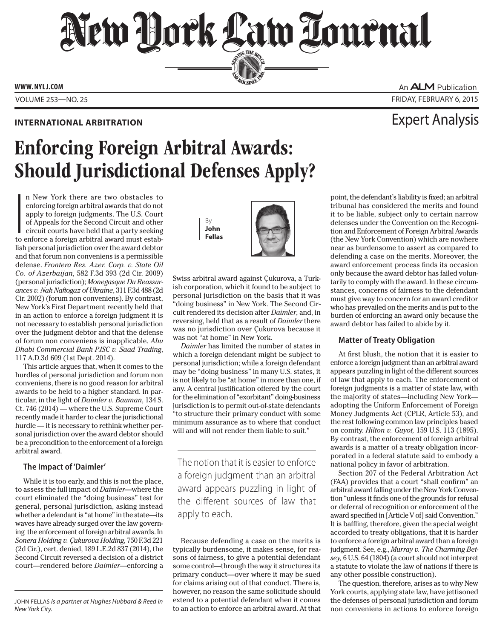# New Dock Law Louenal SERVING THE BET

**ED BAR SINCE 1888** 

**www. NYLJ.com**

Volume 253—NO. 25 Friday, february 6, 2015

An **ALM** Publication

## Enforcing Foreign Arbitral Awards: Should Jurisdictional Defenses Apply?

 $\overline{\phantom{a}}$ <br>to n New York there are two obstacles to enforcing foreign arbitral awards that do not apply to foreign judgments. The U.S. Court of Appeals for the Second Circuit and other circuit courts have held that a party seeking to enforce a foreign arbitral award must establish personal jurisdiction over the award debtor and that forum non conveniens is a permissible defense. *Frontera Res. Azer. Corp. v. State Oil Co. of Azerbaijan*, 582 F.3d 393 (2d Cir. 2009) (personal jurisdiction); *Monegasque Du Reassurances v. Nak Naftogaz of Ukraine*, 311 F.3d 488 (2d Cir. 2002) (forum non conveniens). By contrast, New York's First Department recently held that in an action to enforce a foreign judgment it is not necessary to establish personal jurisdiction over the judgment debtor and that the defense of forum non conveniens is inapplicable. *Abu Dhabi Commercial Bank PJSC v. Saad Trading*, 117 A.D.3d 609 (1st Dept. 2014).

This article argues that, when it comes to the hurdles of personal jurisdiction and forum non conveniens, there is no good reason for arbitral awards to be held to a higher standard. In particular, in the light of *Daimler v. Bauman*, 134 S. Ct. 746 (2014) — where the U.S. Supreme Court recently made it harder to clear the jurisdictional hurdle — it is necessary to rethink whether personal jurisdiction over the award debtor should be a precondition to the enforcement of a foreign arbitral award.

### **The Impact of 'Daimler'**

While it is too early, and this is not the place, to assess the full impact of *Daimler*—where the court eliminated the "doing business" test for general, personal jurisdiction, asking instead whether a defendant is "at home" in the state—its waves have already surged over the law governing the enforcement of foreign arbitral awards. In *Sonera Holding v. Çukurova Holding*, 750 F.3d 221 (2d Cir.), cert. denied, 189 L.E.2d 837 (2014), the Second Circuit reversed a decision of a district court—rendered before *Daimler*—enforcing a By **John Fellas**



Swiss arbitral award against Çukurova, a Turkish corporation, which it found to be subject to personal jurisdiction on the basis that it was "doing business" in New York. The Second Circuit rendered its decision after *Daimler*, and, in reversing, held that as a result of *Daimler* there was no jurisdiction over Çukurova because it was not "at home" in New York.

*Daimler* has limited the number of states in which a foreign defendant might be subject to personal jurisdiction; while a foreign defendant may be "doing business" in many U.S. states, it is not likely to be "at home" in more than one, if any. A central justification offered by the court for the elimination of "exorbitant" doing-business jurisdiction is to permit out-of-state defendants "to structure their primary conduct with some minimum assurance as to where that conduct will and will not render them liable to suit."

The notion that it is easier to enforce a foreign judgment than an arbitral award appears puzzling in light of the different sources of law that apply to each.

Because defending a case on the merits is typically burdensome, it makes sense, for reasons of fairness, to give a potential defendant some control—through the way it structures its primary conduct—over where it may be sued for claims arising out of that conduct. There is, however, no reason the same solicitude should extend to a potential defendant when it comes to an action to enforce an arbitral award. At that

### **International Arbitration** Expert Analysis

point, the defendant's liability is fixed; an arbitral tribunal has considered the merits and found it to be liable, subject only to certain narrow defenses under the Convention on the Recognition and Enforcement of Foreign Arbitral Awards (the New York Convention) which are nowhere near as burdensome to assert as compared to defending a case on the merits. Moreover, the award enforcement process finds its occasion only because the award debtor has failed voluntarily to comply with the award. In these circumstances, concerns of fairness to the defendant must give way to concern for an award creditor who has prevailed on the merits and is put to the burden of enforcing an award only because the award debtor has failed to abide by it.

### **Matter of Treaty Obligation**

At first blush, the notion that it is easier to enforce a foreign judgment than an arbitral award appears puzzling in light of the different sources of law that apply to each. The enforcement of foreign judgments is a matter of state law, with the majority of states—including New York adopting the Uniform Enforcement of Foreign Money Judgments Act (CPLR, Article 53), and the rest following common law principles based on comity. *Hilton v. Guyot,* 159 U.S. 113 (1895). By contrast, the enforcement of foreign arbitral awards is a matter of a treaty obligation incorporated in a federal statute said to embody a national policy in favor of arbitration.

Section 207 of the Federal Arbitration Act (FAA) provides that a court "shall confirm" an arbitral award falling under the New York Convention "unless it finds one of the grounds for refusal or deferral of recognition or enforcement of the award specified in [Article V of] said Convention." It is baffling, therefore, given the special weight accorded to treaty obligations, that it is harder to enforce a foreign arbitral award than a foreign judgment. See, e.g., *Murray v. The Charming Betsey,* 6 U.S. 64 (1804) (a court should not interpret a statute to violate the law of nations if there is any other possible construction).

The question, therefore, arises as to why New York courts, applying state law, have jettisoned the defenses of personal jurisdiction and forum non conveniens in actions to enforce foreign

John Fellas *is a partner at Hughes Hubbard & Reed in New York City.*